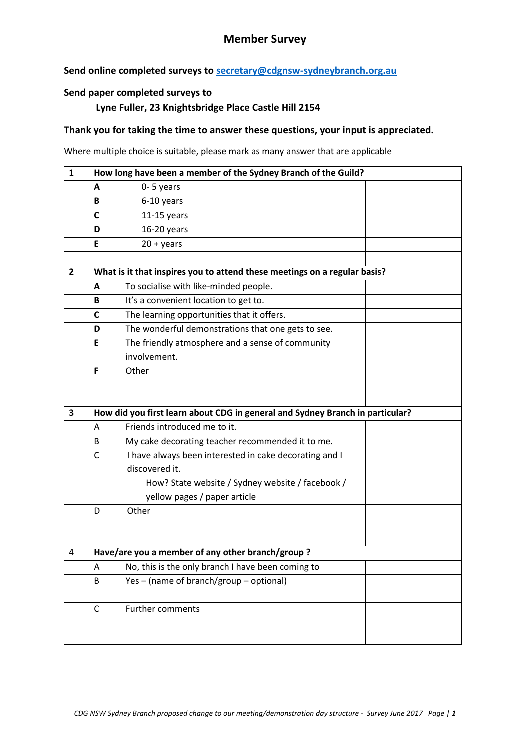## **Member Survey**

### **Send online completed surveys to [secretary@cdgnsw-sydneybranch.org.au](mailto:secretary@cdgnsw-sydneybranch.org.au)**

#### **Send paper completed surveys to**

#### **Lyne Fuller, 23 Knightsbridge Place Castle Hill 2154**

#### **Thank you for taking the time to answer these questions, your input is appreciated.**

Where multiple choice is suitable, please mark as many answer that are applicable

| $\mathbf{1}$ | How long have been a member of the Sydney Branch of the Guild?                |                                                                           |  |  |  |
|--------------|-------------------------------------------------------------------------------|---------------------------------------------------------------------------|--|--|--|
|              | A                                                                             | $0 - 5$ years                                                             |  |  |  |
|              | B                                                                             | 6-10 years                                                                |  |  |  |
|              | C                                                                             | $11-15$ years                                                             |  |  |  |
|              | D                                                                             | 16-20 years                                                               |  |  |  |
|              | E                                                                             | $20 + years$                                                              |  |  |  |
|              |                                                                               |                                                                           |  |  |  |
| $\mathbf{2}$ |                                                                               | What is it that inspires you to attend these meetings on a regular basis? |  |  |  |
|              | A                                                                             | To socialise with like-minded people.                                     |  |  |  |
|              | В                                                                             | It's a convenient location to get to.                                     |  |  |  |
|              | C                                                                             | The learning opportunities that it offers.                                |  |  |  |
|              | D                                                                             | The wonderful demonstrations that one gets to see.                        |  |  |  |
|              | E                                                                             | The friendly atmosphere and a sense of community                          |  |  |  |
|              |                                                                               | involvement.                                                              |  |  |  |
|              | F                                                                             | Other                                                                     |  |  |  |
|              |                                                                               |                                                                           |  |  |  |
|              |                                                                               |                                                                           |  |  |  |
| 3            | How did you first learn about CDG in general and Sydney Branch in particular? |                                                                           |  |  |  |
|              | Α                                                                             | Friends introduced me to it.                                              |  |  |  |
|              | B                                                                             | My cake decorating teacher recommended it to me.                          |  |  |  |
|              | C                                                                             | I have always been interested in cake decorating and I                    |  |  |  |
|              |                                                                               | discovered it.                                                            |  |  |  |
|              |                                                                               | How? State website / Sydney website / facebook /                          |  |  |  |
|              |                                                                               | yellow pages / paper article                                              |  |  |  |
|              | D                                                                             | Other                                                                     |  |  |  |
|              |                                                                               |                                                                           |  |  |  |
|              |                                                                               |                                                                           |  |  |  |
| 4            |                                                                               |                                                                           |  |  |  |
|              |                                                                               | Have/are you a member of any other branch/group?                          |  |  |  |
|              | A                                                                             | No, this is the only branch I have been coming to                         |  |  |  |
|              | B                                                                             | Yes - (name of branch/group - optional)                                   |  |  |  |
|              |                                                                               |                                                                           |  |  |  |
|              | C                                                                             | Further comments                                                          |  |  |  |
|              |                                                                               |                                                                           |  |  |  |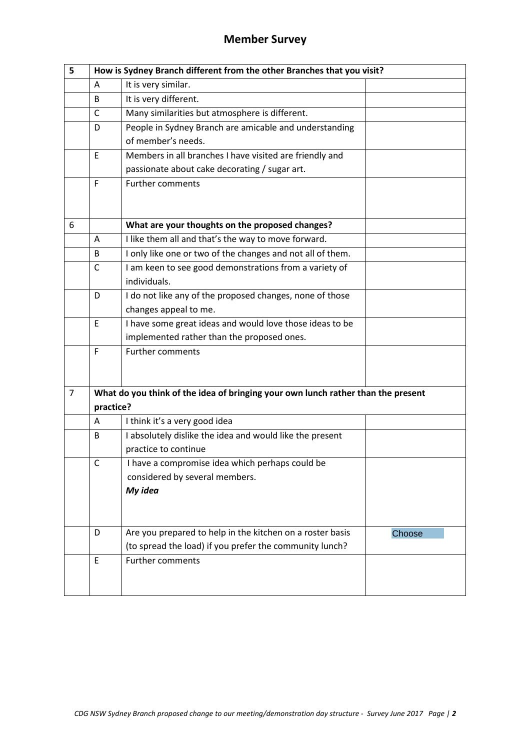# **Member Survey**

| 5              | How is Sydney Branch different from the other Branches that you visit?           |                                                            |        |  |  |
|----------------|----------------------------------------------------------------------------------|------------------------------------------------------------|--------|--|--|
|                | A                                                                                | It is very similar.                                        |        |  |  |
|                | B                                                                                | It is very different.                                      |        |  |  |
|                | C                                                                                | Many similarities but atmosphere is different.             |        |  |  |
|                | D                                                                                | People in Sydney Branch are amicable and understanding     |        |  |  |
|                |                                                                                  | of member's needs.                                         |        |  |  |
|                | Ε                                                                                | Members in all branches I have visited are friendly and    |        |  |  |
|                |                                                                                  | passionate about cake decorating / sugar art.              |        |  |  |
|                | F                                                                                | <b>Further comments</b>                                    |        |  |  |
| 6              |                                                                                  | What are your thoughts on the proposed changes?            |        |  |  |
|                | Α                                                                                | I like them all and that's the way to move forward.        |        |  |  |
|                | B                                                                                | I only like one or two of the changes and not all of them. |        |  |  |
|                | $\mathsf{C}$                                                                     | I am keen to see good demonstrations from a variety of     |        |  |  |
|                |                                                                                  | individuals.                                               |        |  |  |
|                | D                                                                                | I do not like any of the proposed changes, none of those   |        |  |  |
|                |                                                                                  | changes appeal to me.                                      |        |  |  |
|                | E                                                                                | I have some great ideas and would love those ideas to be   |        |  |  |
|                |                                                                                  | implemented rather than the proposed ones.                 |        |  |  |
|                | F                                                                                | <b>Further comments</b>                                    |        |  |  |
|                |                                                                                  |                                                            |        |  |  |
| $\overline{7}$ | What do you think of the idea of bringing your own lunch rather than the present |                                                            |        |  |  |
|                | practice?                                                                        |                                                            |        |  |  |
|                | A                                                                                | I think it's a very good idea                              |        |  |  |
|                | B                                                                                | I absolutely dislike the idea and would like the present   |        |  |  |
|                |                                                                                  | practice to continue                                       |        |  |  |
|                | $\mathsf{C}$                                                                     | I have a compromise idea which perhaps could be            |        |  |  |
|                |                                                                                  | considered by several members.                             |        |  |  |
|                |                                                                                  | My idea                                                    |        |  |  |
|                |                                                                                  |                                                            |        |  |  |
|                | D                                                                                | Are you prepared to help in the kitchen on a roster basis  | Choose |  |  |
|                |                                                                                  | (to spread the load) if you prefer the community lunch?    |        |  |  |
|                | E                                                                                | <b>Further comments</b>                                    |        |  |  |
|                |                                                                                  |                                                            |        |  |  |